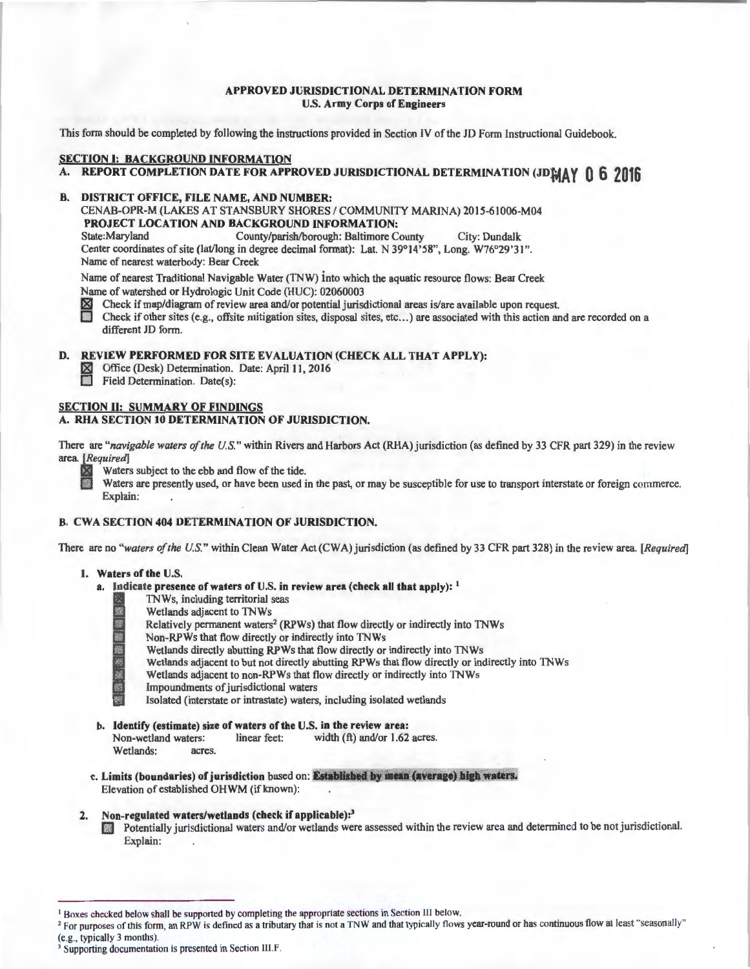#### APPROVED JURISDICTIONAL DETERMINATION FORM U.S. Army Corps of Engineers

This form should be completed by following the instructions provided in Section IV of the JD Form Instructional Guidebook.

#### SECTION I: BACKGROUND INFORMATION

A. REPORT COMPLETION DATE FOR APPROVED JURISDICTIONAL DETERMINATION (JDMAY 06 2016

#### B. DISTRICT OFFICE, FILE NAME, AND NUMBER:

CENAB-OPR-M (LAKES AT STANSBURY SHORES I COMMUNITY MARINA) 20I5-61006-M04 **PROJECT LOCATION AND BACKGROUND INFORMATION:**<br>County/parish/borough: Baltimore C

County/parish/borough: Baltimore County City: Dundalk Center coordinates of site (lat/long in degree decimal format): Lat. N 39°I4 '58", Long. W76°29'3 I". Name of nearest waterbody: Bear Creek

Name of nearest Traditional Navigable Water (TNW) into which the aquatic resource flows: Bear Creek Name of watershed or Hydrologic Unit Code (HUC): 02060003

 $\boxtimes$  Check if map/diagram of review area and/or potential jurisdictional areas is/are available upon request.<br>
Check if other sites (e.g., offsite mitigation sites, disposal sites, etc...) are associated with this action

Check if other sites (e.g., offsite mitigation sites, disposal sites, etc...) are associated with this action and are recorded on a different JD form.

#### D. REVIEW PERFORMED FOR SITE EVALUATION (CHECK ALL THAT APPLY):

- 11, 2016 Office (Desk) Determination. Date: April 11, 2016
- $\Box$  Field Determination. Date(s):

#### SECTION II: SUMMARY OF FINDINGS

#### A. RHA SECTION 10 DETERMINATION OF JURISDICTION.

There are "navigable waters of the U.S." within Rivers and Harbors Act (RHA) jurisdiction (as defined by 33 CFR part 329) in the review area. *[Required]* 

Waters subject to the ebb and flow of the tide.

Waters are presently used, or have been used in the past, or may be susceptible for use to transport interstate or foreign commerce. Explain:

#### B. CWA SECTION 404 DETERMINATION OF JURISDICTION.

There are no *"waters of the U.S."* within Clean Water Act (CWA) jurisdiction (as defined by 33 CFR part 328) in the review area. [Required]

#### 1. Waters of the U.S.

- a. Indicate presence of waters of U.S. in review area (check all that apply): <sup>1</sup>
	- TNWs, including territorial seas
	- Wetlands adjacent to TNWs
	- Relatively permanent waters<sup>2</sup> (RPWs) that flow directly or indirectly into TNWs
	- Non-RPWs that flow directly or indirectly into TNWs
	- Wetlands directly abutting RPWs that flow directly or indirectly into TNWs
	- Wetlands adjacent to but not directly abutting RPWs that flow directly or indirectly into TNWs
	- Wetlands adjacent to non-RPWs that flow directly or indirectly into TNWs
	- Impoundments of jurisdictional waters
	- Isolated (interstate or intrastate) waters, including isolated wetlands
- b. Identify (estimate) size of waters of the U.S. in the review area:<br>Non-wetland waters: linear feet: width  $(\text{ft})$  and/or 1.62 width  $(ft)$  and/or 1.62 acres. Wetlands: acres.
- c. Limits (boundaries) of jurisdiction based on: Established by mean (average) high waters. Elevation of established OHWM (if known):

#### 2. Non-regulated waters/wetlands (check if applicable): $3$

Potentially jurisdictional waters and/or wetlands were assessed within the review area and determined to be not jurisdictional. Explain:

<sup>&</sup>lt;sup>1</sup> Boxes checked below shall be supported by completing the appropriate sections in Section III below.<br><sup>2</sup> For purposes of this form, an RPW is defined as a tributary that is not a TNW and that typically flows year-round

<sup>(</sup>e.g., typically 3 months). 3 Supporting documentation is presented in Section 111.F.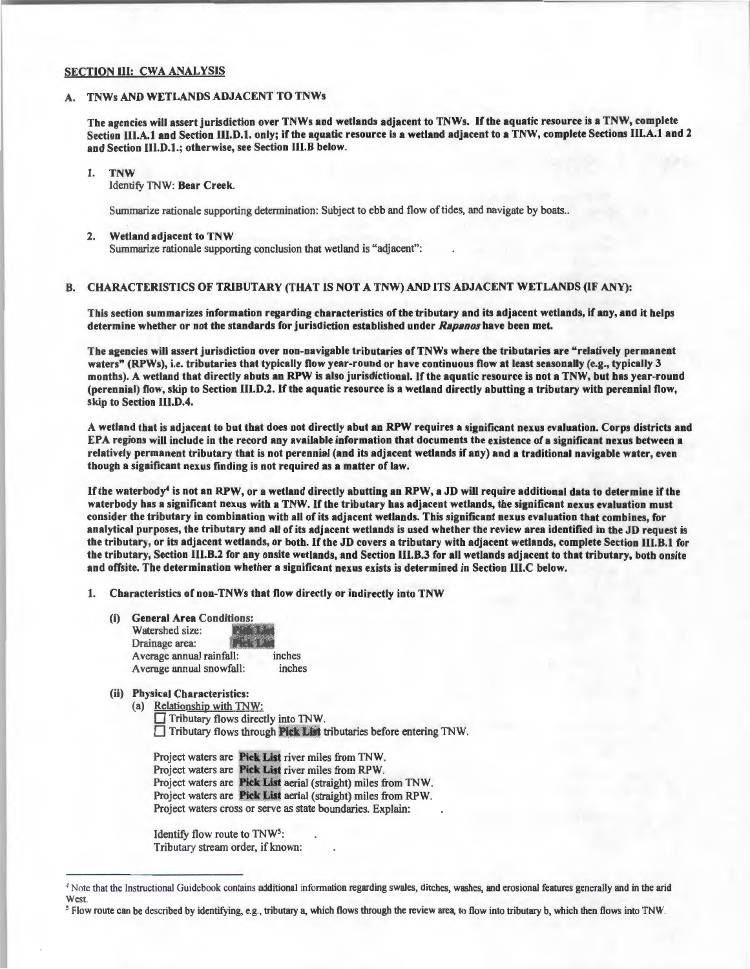#### SECTION lll: CWA ANALYSIS

#### TNWs AND WETLANDS ADJACENT TO TNWs

The agencies will assert jurisdiction over TNWs and wetlands adjacent to TNWs. If the aquatic resource is a TNW, complete Section III.A.1 and Section III.D.1. only; if the aquatic resource is a wetland adjacent to a TNW, complete Sections III.A.1 and 2 and Section 111.D.1.; otherwise, see Section 111.B below.

#### 1. TNW

Identify TNW: Bear Creek.

Summarize rationale supporting determination: Subject to ebb and flow of tides, and navigate by boats..

### 2. Wetland adjacent to TNW

Summarize rationale supporting conclusion that wetland is "adjacent":

#### B. CHARACTERISTICS OF TRIBUTARY (THAT IS NOT A TNW) AND ITS ADJACENT WETLANDS (IF ANY):

This section summarizes information regarding characteristics of the tributary and its adjacent wetlands, if any, and it helps determine whether or not the standards for jurisdiction established under *Rapanos* have been met.

The agencies will assert jurisdiction over non-navigable tributaries ofTNWs where the tributaries are "relatively permanent waters" (RPWs), i.e. tributaries that typically flow year-round or have continuous flow at least seasonally (e.g., typically 3 months). A wetland that directly abuts an RPW is also jurisdictional. If the aquatic resource is not a TNW, but has year-round (perennial) flow, skip to Section 111.D.2. If the aquatic resource is a wetland directly abutting a tributary with perennial flow, skip to Section lll.D.4.

A wetland that is adjacent to but that does not directly abut an RPW requires a significant nexus evaluation. Corps districts and EPA regions will include in the record any available information that documents the existence of a significant nexus between a relatively permanent tributary that is not perennial (and its adjacent wetlands if any) and a traditional navigable water, even though a significant nexus finding is not required as a matter of law.

If the waterbody<sup>4</sup> is not an RPW, or a wetland directly abutting an RPW, a JD will require additional data to determine if the waterbody has a significant nexus with a TNW. If the tributary has adjacent wetlands, the significant nexus evaluation must consider the tributary in combination with all of its adjacent wetlands. This significant nexus evaluation that combines, for analytical purposes, the tributary and all of its adjacent wetlands is used whether the review area identified in the JD request is the tributary, or its adjacent wetlands, or both. If the JD covers a tributary with adjacent wetlands, complete Section 111.B.1 for the tributary, Section 111.B.2 for any onsite wetlands, and Section 111.B.3 for all wetlands adjacent to that tributary, both onsite and offsite. The determination whether a significant nexus exists is determined in Section 111.C below.

1. Characteristics of non-TNWs that flow directly or indirectly into TNW

- (i) General Area Conditions:
	- Watershed size: Pick List Drainage area: Pick List Average annual rainfall: inches Average annual snowfall: inches
- (ii) Physical Characteristics:
	- (a) Relationship with TNW: Tributary flows directly into TNW. Tributary flows through Pick List tributaries before entering TNW.

Project waters are Pick List river miles from TNW. Project waters are Pick List river miles from RPW. Project waters are Pick List aerial (straight) miles from TNW. Project waters are Pick List aerial (straight) miles from RPW. Project waters cross or serve as state boundaries. Explain:

Identify flow route to TNW5: Tributary stream order, if known:

i Flow route can be described by identifying, e.g., tributary a, which flows through the review area, to flow into tributary b, which then flows into TNW.

<sup>&</sup>lt;sup>4</sup> Note that the Instructional Guidebook contains additional information regarding swales, ditches, washes, and erosional features gmerally and in the arid **West.**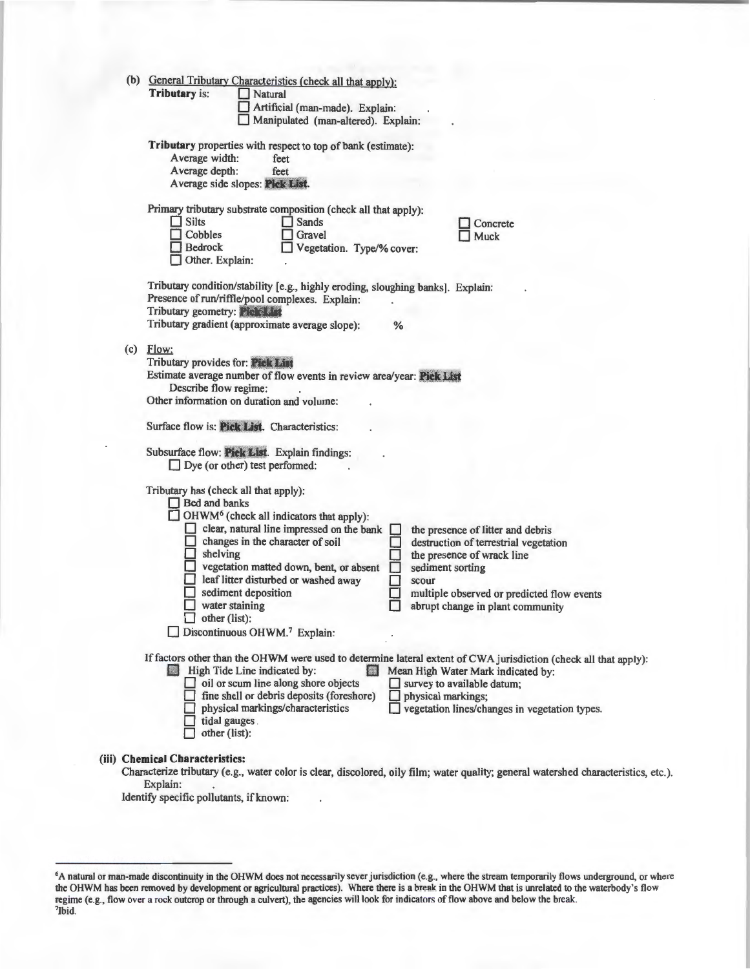| (b) General Tributary Characteristics (check all that apply):                                                                                                                                  |
|------------------------------------------------------------------------------------------------------------------------------------------------------------------------------------------------|
| <b>Tributary is:</b><br>Natural                                                                                                                                                                |
| Artificial (man-made). Explain:<br>Manipulated (man-altered). Explain:                                                                                                                         |
| Tributary properties with respect to top of bank (estimate):                                                                                                                                   |
| Average width:<br>feet                                                                                                                                                                         |
| Average depth:<br>feet                                                                                                                                                                         |
| Average side slopes: Pick List.                                                                                                                                                                |
| Primary tributary substrate composition (check all that apply):                                                                                                                                |
| <b>Silts</b><br>Sands<br>H<br>Concrete                                                                                                                                                         |
| Cobbles<br>Gravel<br>Muck                                                                                                                                                                      |
| <b>Bedrock</b><br>Vegetation. Type/% cover:<br>Other. Explain:                                                                                                                                 |
| Tributary condition/stability [e.g., highly eroding, sloughing banks]. Explain:                                                                                                                |
| Presence of run/riffle/pool complexes. Explain:                                                                                                                                                |
| Tributary geometry: Pickellist                                                                                                                                                                 |
| Tributary gradient (approximate average slope):<br>$\%$                                                                                                                                        |
| $(c)$ Flow:                                                                                                                                                                                    |
| Tributary provides for: Pick List                                                                                                                                                              |
| Estimate average number of flow events in review area/year: Pick List                                                                                                                          |
| Describe flow regime:                                                                                                                                                                          |
| Other information on duration and volume:                                                                                                                                                      |
|                                                                                                                                                                                                |
| Surface flow is: Pick List. Characteristics:                                                                                                                                                   |
| Subsurface flow: Pick List. Explain findings:                                                                                                                                                  |
| $\Box$ Dye (or other) test performed:                                                                                                                                                          |
|                                                                                                                                                                                                |
| Tributary has (check all that apply):                                                                                                                                                          |
| Bed and banks                                                                                                                                                                                  |
| OHWM <sup>6</sup> (check all indicators that apply):                                                                                                                                           |
| $\Box$ clear, natural line impressed on the bank<br>the presence of litter and debris                                                                                                          |
| changes in the character of soil<br>destruction of terrestrial vegetation                                                                                                                      |
| $\Box$ shelving<br>the presence of wrack line                                                                                                                                                  |
| vegetation matted down, bent, or absent<br>sediment sorting<br>leaf litter disturbed or washed away<br><b>SCOUT</b>                                                                            |
| sediment deposition<br>multiple observed or predicted flow events                                                                                                                              |
| water staining<br>abrupt change in plant community                                                                                                                                             |
| $\Box$ other (list):                                                                                                                                                                           |
| $\Box$ Discontinuous OHWM. <sup>7</sup> Explain:                                                                                                                                               |
|                                                                                                                                                                                                |
| If factors other than the OHWM were used to determine lateral extent of CWA jurisdiction (check all that apply):<br>High Tide Line indicated by:<br>  鸚 <br>Mean High Water Mark indicated by: |
| $\Box$ oil or scum line along shore objects<br>$\Box$ survey to available datum;                                                                                                               |
| $\Box$ fine shell or debris deposits (foreshore)<br>physical markings;                                                                                                                         |
| physical markings/characteristics<br>vegetation lines/changes in vegetation types.                                                                                                             |
| $\Box$ tidal gauges                                                                                                                                                                            |
| other (list):                                                                                                                                                                                  |
|                                                                                                                                                                                                |
| (iii) Chemical Characteristics:                                                                                                                                                                |
| Characterize tributary (e.g., water color is clear, discolored, oily film; water quality; general watershed characteristics, etc.).                                                            |
| Explain:                                                                                                                                                                                       |

Identify specific pollutants, if known:

<sup>6</sup>A natural or man-made discontinuity in the OHWM does not necessarily sever jurisdiction (e.g., where the stream temporarily flows underground, or where the OHWM has been removed by development or agricultural practices). Where there is a break in the OHWM that is unrelated to the waterbody's flow regime (e.g., flow over a rock outcrop or through a culvert), the agencies will look for indicators (of flow above and below the break. 7 <sup>7</sup>Ibid.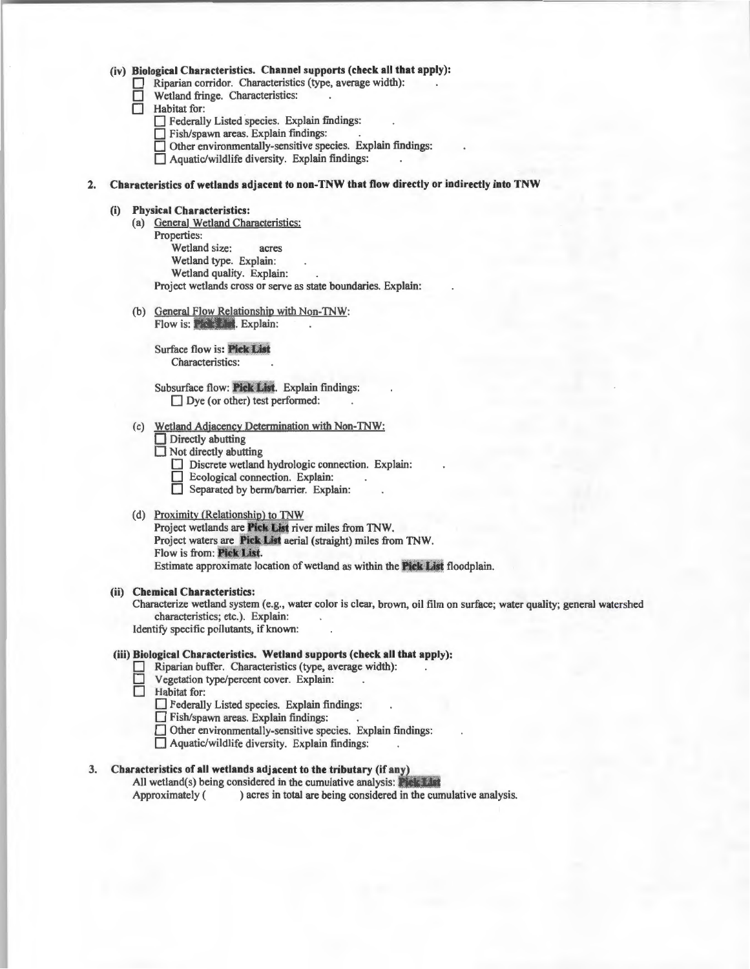#### (iv) Biological Characteristics. Channel supports (check all that apply):

- Riparian corridor. Characteristics (type, average width):
- Wetland fringe. Characteristics:
- $\Box$  Habitat for:
	- D Federally Listed species. Explain findings:
	- D Fish/spawn areas. Explain findings:
	- D Other environmentally-sensitive species. Explain findings:
	- D Aquatic/wildlife diversity. Explain findings:

#### 2. Characteristics of wetlands adjacent to non-TNW that flow directly or indirectly into TNW

#### (i) Physical Characteristics:

(a) General Wetland Characteristics: Properties:

Wetland size: acres Wetland type. Explain: Wetland quality. Explain: Project wetlands cross or serve as state boundaries. Explain:

(b) General Flow Relationship with Non-TNW: Flow is: Pick Lin. Explain:

> Surface flow is: Pick List Characteristics:

Subsurface flow: Pick List. Explain findings:  $\Box$  Dye (or other) test performed:

## (c) Wetland Adjacency Determination with Non-TNW:<br>  $\Box$  Directly abutting

- 
- $\Box$  Not directly abutting
	- Discrete wetland hydrologic connection. Explain:
	- D Ecological connection. Explain:
	- D Separated by berm/barrier. Explain:

#### (d) Proximity (Relationship) to TNW

Project wetlands are Pick List river miles from TNW. Project waters are Pick List aerial (straight) miles from TNW. Flow is from: Pick List. Estimate approximate location of wetland as within the Pick List floodplain.

#### (ii) Chemical Characteristics:

Characterize wetland system (e.g., water color is clear, brown, oil film on surface; water quality; general watershed characteristics; etc.). Explain: Identify specific pollutants, if known:

# (iii) Biological Characteristics. Wetland supports (check all that apply):<br>
Riparian buffer. Characteristics (type, average width):<br>
Vegetation type/percent cover. Explain:<br>
Habitat for:

- Riparian buffer. Characteristics (type, average width):
- Vegetation type/percent cover. Explain:
- Habitat for:
	- D Federally Listed species. Explain findings:
	- D Fish/spawn areas. Explain findings:
	- $\Box$  Other environmentally-sensitive species. Explain findings:
	- $\Box$  Aquatic/wildlife diversity. Explain findings:

#### 3. Characteristics of all wetlands adjacent to the tributary (if any)

All wetland(s) being considered in the cumulative analysis: **PickList** Approximately  $($  ) acres in total are being considered in the cum

) acres in total are being considered in the cumulative analysis.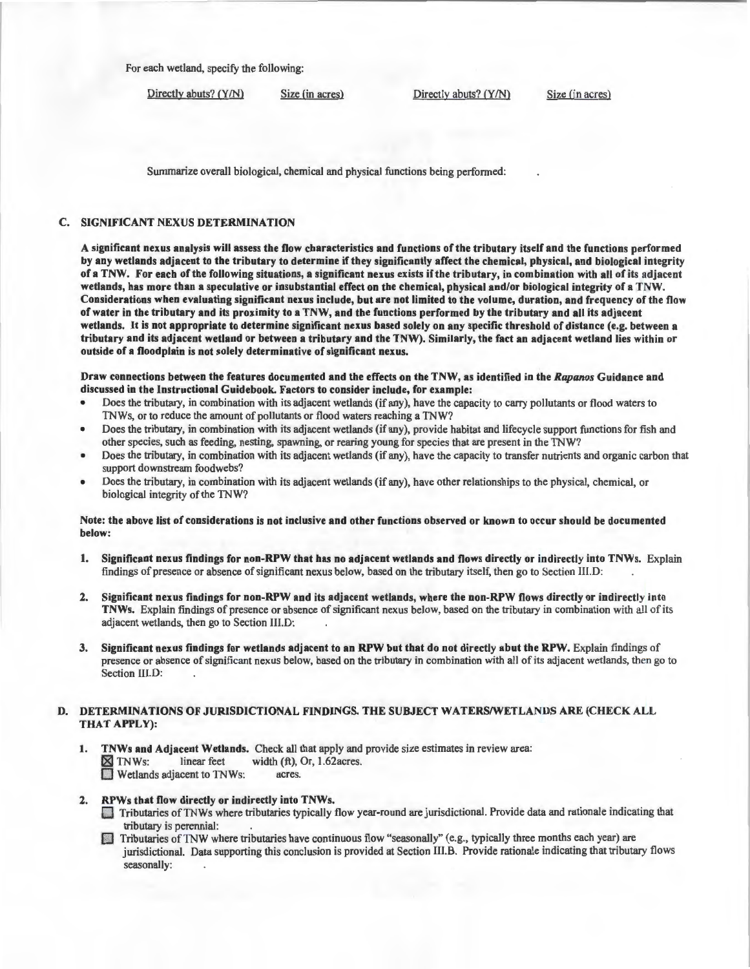For each wetland, specify the following:

Directly abuts? (Y/N) Size (in acres) Directly abuts? (Y/N) Size (in acres)

Summarize overall biological, chemical and physical functions being performed:

#### C. SIGNIFICANT NEXUS DETERMINATION

A significant nexus analysis will assess the flow characteristics and functions of the tributary itself and the functions performed by any wetlands adjacent to the tributary to determine if they significantly affect the chemical, physical, and biological integrity of a TNW. For each of the following situations, a significant nexus exists if the tributary, in combination with all of its adjacent wetlands, has more than a speculative or insubstantial effect on the chemical, physical and/or biological integrity of a TNW. Considerations when evaluating significant nexus include, but are not limited to the volume, duration, and frequency of the flow of water in the tributary and its proximity to a TNW, and the functions performed by the tributary and all its adjacent wetlands. It is not appropriate to determine significant nexus based solely on any specific threshold of distance (e.g. between a tributary and its adjacent wetland or between a tributary and the TNW). Similarly, the fact an adjacent wetland lies within or outside of a floodplain is not solely determinative of significant nexus.

Draw connections between the features documented and the effects on the TNW, as identified in the *Rapanos* Guidance and discussed in the Instructional Guidebook. Factors to consider include, for example:

- Does the tributary, in combination with its adjacent wetlands (if any), have the capacity to carry pollutants or flood waters to 1NWs, or to reduce the amount of pollutants or flood waters reaching a 1NW?
- Does the tributary, in combination with its adjacent wetlands (if any), provide habitat and lifecycle support functions for fish and other species, such as feeding, nesting, spawning, or rearing young for species that are present in the 1NW?
- Does the tributary, in combination with its adjacent wetlands (if any), have the capacity to transfer nutrients and organic carbon that support downstream foodwebs?
- Does the tributary, in combination with its adjacent wetlands (if any), have other relationships to the physical, chemical, or biological integrity of the TNW?

#### Note: the above list of considerations is not inclusive and other functions observed or known to occur should be documented below:

- 1. Significant nexus findings for non-RPW that has no adjacent wetlands and flows directly or indirectly into TNWs. Explain findings of presence or absence of significant nexus below, based on the tributary itself: then go to Section 111.D:
- 2. Significant nexus findings for non-RPW and its adjacent wetlands, where the non-RPW flows directly or indirectly jnto TNWs. Explain findings of presence or absence of significant nexus below, based on the tributary in combination with all of its adjacent wetlands, then go to Section lll.D:
- 3. Significant nexus findings for wetlands adjacent to an RPW but that do not directly abut the RPW. Explain findings of presence or absence of significant nexus below, based on the tributary in combination with all of its adjacent wetlands, then go to Section III.D:

#### D. DETERMINATIONS OF JURISDICTIONAL FINDINGS. THE SUBJECT WATERS/WETLANDS ARE (CHECK ALL THAT APPLY):

1. TNWs and Adjacent Wetlands. Check all that apply and provide size estimates in review area:  $\times$  TNWs: linear feet width (ft), Or, 1.62 acres. **EXECUTE:** Wetlands adjacent to TNWs: acres.

- 2. RPWs that flow directly or indirectly into TNWs.<br>**D** Tributaries of TNWs where tributaries typically flow year-round are jurisdictional. Provide data and rationale indicating that
	- tributary is perennial:<br>
	Tributaries of TNW where tributaries have continuous flow "seasonally" (e.g., typically three months each year) are jurisdictional. Data supporting this conclusion is provided at Section lll.B. Provide rationale indicating that tributary flows seasonally: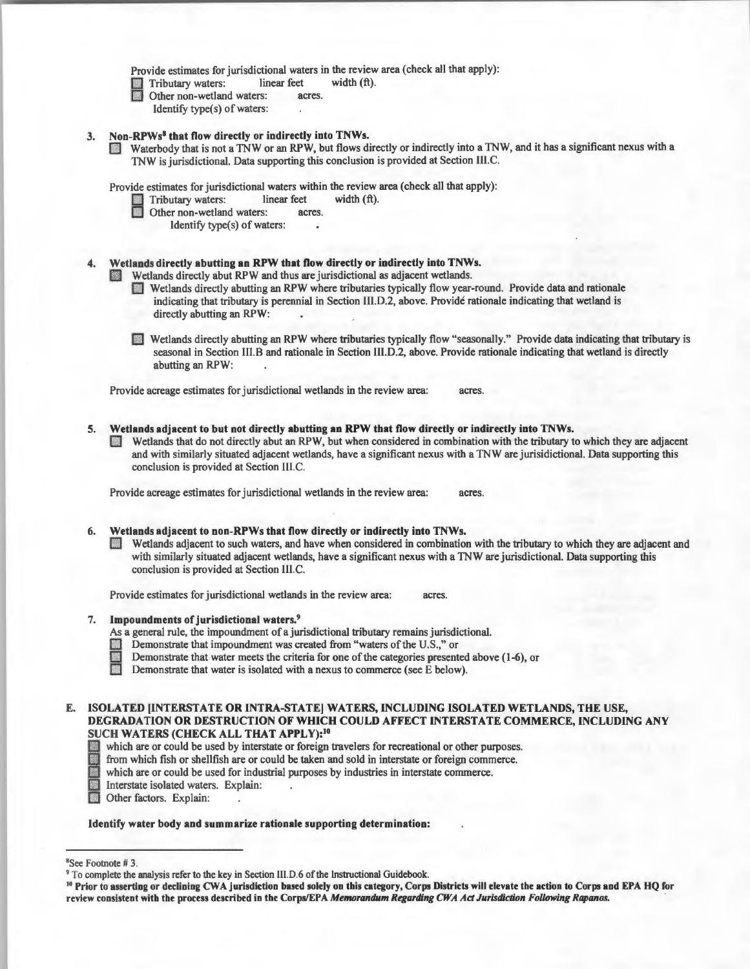Provide estimates for jurisdictional waters in the review area (check all that apply):

Tributary waters: linear feet width (ft).<br>
Cher non-wetland waters: acres.

- - Identify type(s) of waters:
- 3. Non-RPWs<sup>8</sup> that flow directly or indirectly into TNWs.
	- Waterbody that is not a TNW or an RPW, but flows directly or indirectly into a TNW, and it has a significant nexus with a TNW is jurisdictional. Data supporting this conclusion is provided at Section III.C.

Provide estimates for jurisdictional waters within the review area (check all that apply):

- Tributary waters: linear feet width (ft).<br>
Other non-wetland waters: acres.
- - Identify type(s) of waters:

#### 4. Wetlands directly abutting an RPW that flow directly or indirectly into TNWs.

- Wetlands directly abut RPW and thus are jurisdictional as adjacent wetlands.
- **EXECUTE Wetlands directly abutting an RPW where tributaries typically flow year-round. Provide data and rationale** indicating that tributary is perennial in Section IIl.D.2, above. Provide rationale indicating that wetland is directly abutting an RPW:
- **EXECUTE Wetlands directly abutting an RPW where tributaries typically flow "seasonally." Provide data indicating that tributary is** seasonal in Section III.B and rationale in Section III.D.2, above. Provide rationale indicating that wetland is directly abutting an RPW:

Provide acreage estimates for jurisdictional wetlands in the review area: acres.

- 5. Wetlands adjacent to but not directly abutting an RPW that flow directly or indirectly into TNWs.
	- 0 Wetlands that do not directly abut an RPW, but when considered in combination with the tributary to which they are adjacent and with similarly situated adjacent wetlands, have a significant nexus with a TNW are jurisidictional. Data supporting this conclusion is provided at Section lll.C.

Provide acreage estimates for jurisdictional wetlands in the review area: acres.

- 6. Wetlands adjacent to non-RPWs that flow directly or indirectly into TNWs.
	- D Wetlands adjacent to such waters, and have when considered in combination with the tributary to which they are adjacent and with similarly situated adjacent wetlands, have a significant nexus with a TNW are jurisdictional. Data supporting this conclusion is provided at Section III.C.

Provide estimates for jurisdictional wetlands in the review area: acres.

7. Impoundments of jurisdictional waters.9

As a general rule, the impoundment of a jurisdictional tributary remains jurisdictional.

- Demonstrate that impoundment was created from "waters of the U.S.," or
- Demonstrate that water meets the criteria for one of the categories presented above (1-6), or
- Demonstrate that water is isolated with a nexus to commerce (see E below).

#### E. ISOLATED [INTERSTATE OR INTRA-STATE] WATERS, INCLUDING ISOLATED WETLANDS, THE USE, DEGRADATION OR DESTRUCTION OF WHICH COULD AFFECT INTERSTATE COMMERCE, INCLUDING ANY SUCH WATERS (CHECK ALL THAT APPLY):<sup>10</sup>

- which are or could be used by interstate or foreign travelers for recreational or other purposes.
- from which fish or shellfish are or could be taken and sold in interstate or foreign commerce.
- which are or could be used for industrial purposes by industries in interstate commerce.
- Interstate isolated waters. Explain:
- Other factors. Explain:

Identify water body and summarize rationale supporting determination:

<sup>8</sup> See Footnote # 3.

<sup>&</sup>lt;sup>9</sup> To complete the analysis refer to the key in Section III.D.6 of the Instructional Guidebook.<br><sup>10</sup> Prior to asserting or declining CWA jurisdiction based solely on this category, Corps Districts will elevate the action review consistent with the process described in the Corps/EPA *Memorandum Regarding CWA Act Jurisdiction Following Rapanos.*